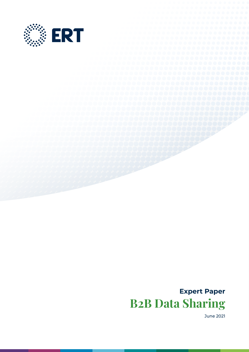

# **Expert Paper B2B Data Sharing**

June 2021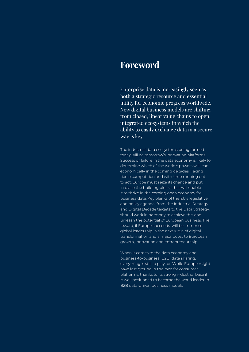## **Foreword**

Enterprise data is increasingly seen as both a strategic resource and essential utility for economic progress worldwide. New digital business models are shifting from closed, linear value chains to open, integrated ecosystems in which the ability to easily exchange data in a secure way is key.

The industrial data ecosystems being formed today will be tomorrow's innovation platforms. Success or failure in the data economy is likely to determine which of the world's powers will lead economically in the coming decades. Facing fierce competition and with time running out to act, Europe must seize its chance and put in place the building blocks that will enable it to thrive in the coming open economy for business data. Key planks of the EU's legislative and policy agenda, from the Industrial Strategy and Digital Decade targets to the Data Strategy, should work in harmony to achieve this and unleash the potential of European business. The reward, if Europe succeeds, will be immense: global leadership in the next wave of digital transformation and a major boost to European growth, innovation and entrepreneurship.

When it comes to the data economy and business-to-business (B2B) data sharing, everything is still to play for. While Europe might have lost ground in the race for consumer platforms, thanks to its strong industrial base it is well positioned to become the world leader in B2B data-driven business models.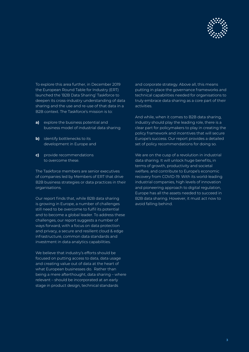

To explore this area further, in December 2019 the European Round Table for Industry (ERT) launched the 'B2B Data Sharing' Taskforce to deepen its cross-industry understanding of data sharing and the use and re-use of that data in a B2B context. The Taskforce's mission is to:

- **a)** explore the business potential and business model of industrial data sharing
- **b)** identify bottlenecks to its development in Europe and
- **c)** provide recommendations to overcome these.

The Taskforce members are senior executives of companies led by Members of ERT that drive B2B business strategies or data practices in their organisations.

Our report finds that, while B2B data sharing is growing in Europe, a number of challenges still need to be overcome to fulfil its potential and to become a global leader. To address these challenges, our report suggests a number of ways forward, with a focus on data protection and privacy, a secure and resilient cloud & edge infrastructure, common data standards and investment in data analytics capabilities.

We believe that industry's efforts should be focused on putting access to data, data usage and creating value out of data at the heart of what European businesses do. Rather than being a mere afterthought, data sharing – where relevant – should be incorporated at an early stage in product design, technical standards

and corporate strategy. Above all, this means putting in place the governance frameworks and technical capabilities needed for organisations to truly embrace data sharing as a core part of their activities.

And while, when it comes to B2B data sharing, industry should play the leading role, there is a clear part for policymakers to play in creating the policy framework and incentives that will secure Europe's success. Our report provides a detailed set of policy recommendations for doing so.

We are on the cusp of a revolution in industrial data sharing. It will unlock huge benefits, in terms of growth, productivity and societal welfare, and contribute to Europe's economic recovery from COVID-19. With its world-leading industrial companies, high levels of innovation and pioneering approach to digital regulation, Europe has all the assets needed to succeed in B2B data sharing. However, it must act now to avoid falling behind.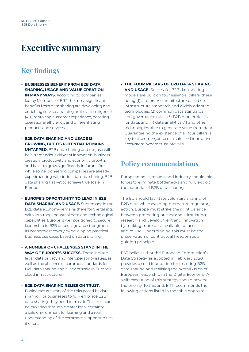## **Executive summary**

### **Key findings**

- **• BUSINESSES BENEFIT FROM B2B DATA SHARING, USAGE AND VALUE CREATION IN MANY WAYS.** According to companies led by Members of ERT, the most significant benefits from data sharing are developing and enriching services, training artificial intelligence (AI), improving customer experience, boosting operational efficiency, and differentiating products and services.
- **• B2B DATA SHARING AND USAGE IS GROWING, BUT ITS POTENTIAL REMAINS UNTAPPED.** B2B data sharing and (re-)use will be a tremendous driver of innovation, business creation, productivity and economic growth, and is set to grow significantly in future. But while some pioneering companies are already experimenting with industrial data sharing, B2B data sharing has yet to achieve true scale in Europe.
- **• EUROPE'S OPPORTUNITY TO LEAD IN B2B DATA SHARING AND USAGE.** Supremacy in the B2B data economy remains there for the taking. With its strong industrial base and technological capabilities, Europe is well positioned to secure leadership in B2B data usage and strengthen its economic recovery by developing practical business use cases based on data sharing.
- **• A NUMBER OF CHALLENGES STAND IN THE WAY OF EUROPE'S SUCCESS.** These include legal, data privacy and interoperability issues, as well as the absence of common standards for B2B data sharing and a lack of scale in Europe's cloud infrastructure.
- **• B2B DATA SHARING RELIES ON TRUST.** Businesses are wary of the risks posed by data sharing. For businesses to fully embrace B2B data sharing, they need to trust it. This trust can be provided through greater legal certainty, a safe environment for learning and a real understanding of the commercial opportunities it offers.

**• THE FOUR PILLARS OF B2B DATA SHARING AND USAGE.** Successful B2B data sharing models are built on four essential pillars, these being (1) a reference architecture based on infrastructure standards and widely adopted technologies, (2) common data standards and governance rules, (3) B2B marketplaces for data, and (4) data analytics, AI and other technologies able to generate value from data. Guaranteeing the existence of all four pillars is key to the emergence of a safe and innovative ecosystem, where trust prevails.

### **Policy recommendations**

European policymakers and industry should join forces to eliminate bottlenecks and fully exploit the potential of B2B data sharing.

The EU should facilitate voluntary sharing of B2B data while avoiding premature regulatory action. Europe must strike the right balance between protecting privacy and stimulating research and development and innovation by making more data available for access and re-use. Underpinning this must be the preservation of contractual freedom as a guiding principle.

ERT believes that the European Commission's Data Strategy, as adopted in February 2020, provides a solid foundation for fostering B2B data sharing and realising the overall vision of European leadership in the Digital Economy. A swift execution of this strategy should now be the priority. To this end, ERT recommends the following actions listed in the table opposite.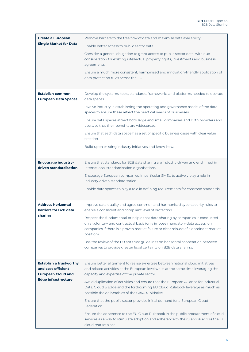| <b>Create a European</b><br><b>Single Market for Data</b>                         | Remove barriers to the free flow of data and maximise data availability.                                                                                                                                                                                        |
|-----------------------------------------------------------------------------------|-----------------------------------------------------------------------------------------------------------------------------------------------------------------------------------------------------------------------------------------------------------------|
|                                                                                   | Enable better access to public sector data.                                                                                                                                                                                                                     |
|                                                                                   | Consider a general obligation to grant access to public sector data, with due<br>consideration for existing intellectual property rights, investments and business<br>agreements.                                                                               |
|                                                                                   | Ensure a much more consistent, harmonised and innovation-friendly application of<br>data protection rules across the EU.                                                                                                                                        |
| <b>Establish common</b><br><b>European Data Spaces</b>                            | Develop the systems, tools, standards, frameworks and platforms needed to operate<br>data spaces.                                                                                                                                                               |
|                                                                                   | Involve industry in establishing the operating and governance model of the data<br>spaces to ensure these reflect the practical needs of businesses.                                                                                                            |
|                                                                                   | Ensure data spaces attract both large and small companies and both providers and<br>users, so that their benefits are widespread.                                                                                                                               |
|                                                                                   | Ensure that each data space has a set of specific business cases with clear value<br>creation.                                                                                                                                                                  |
|                                                                                   | Build upon existing industry initiatives and know-how.                                                                                                                                                                                                          |
| <b>Encourage industry-</b><br>driven standardisation                              | Ensure that standards for B2B data sharing are industry-driven and enshrined in<br>international standardisation organisations.                                                                                                                                 |
|                                                                                   | Encourage European companies, in particular SMEs, to actively play a role in<br>industry-driven standardisation.                                                                                                                                                |
|                                                                                   | Enable data spaces to play a role in defining requirements for common standards.                                                                                                                                                                                |
| <b>Address horizontal</b><br>barriers for B2B data                                | Improve data quality and agree common and harmonised cybersecurity rules to<br>enable a consistent and compliant level of protection.                                                                                                                           |
| sharing                                                                           | Respect the fundamental principle that data sharing by companies is conducted<br>on a voluntary and contractual basis (only impose mandatory data access on<br>companies if there is a proven market failure or clear misuse of a dominant market<br>position). |
|                                                                                   | Use the review of the EU antitrust guidelines on horizontal cooperation between<br>companies to provide greater legal certainty on B2B data sharing.                                                                                                            |
| <b>Establish a trustworthy</b><br>and cost-efficient<br><b>European Cloud and</b> | Ensure better alignment to realise synergies between national cloud initiatives<br>and related activities at the European level while at the same time leveraging the<br>capacity and expertise of the private sector.                                          |
| <b>Edge infrastructure</b>                                                        | Avoid duplication of activities and ensure that the European Alliance for Industrial<br>Data, Cloud & Edge and the forthcoming EU Cloud Rulebook leverage as much as<br>possible the deliverables of the GAIA-X initiative.                                     |
|                                                                                   | Ensure that the public sector provides initial demand for a European Cloud<br>Federation.                                                                                                                                                                       |
|                                                                                   | Ensure the adherence to the EU Cloud Rulebook in the public procurement of cloud<br>services as a way to stimulate adoption and adherence to the rulebook across the EU<br>cloud marketplace.                                                                   |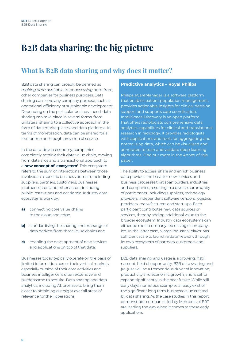# **B2B data sharing: the big picture**

## **What is B2B data sharing and why does it matter?**

B2B data sharing can broadly be defined as *making data available to,* or *accessing data from,*  other companies for business purposes. Data sharing can serve any company purpose, such as operational efficiency or sustainable development. Depending on the particular business need, data sharing can take place in several forms, from unilateral sharing to a collective approach in the form of data marketplaces and data platforms. In terms of monetisation, data can be shared for a fee, for free or through provision of service.

In the data-driven economy, companies completely rethink their data value chain, moving from data silos and a transactional approach to a **new concept of 'ecosystem'**. This ecosystem refers to the sum of interactions between those involved in a specific business domain, including suppliers, partners, customers, businesses in other sectors and other actors, including public institutions and academia. Industry data ecosystems work by:

- **a)** connecting core value chains to the cloud and edge,
- **b)** standardising the sharing and exchange of data derived from those value chains and
- **c)** enabling the development of new services and applications on top of that data.

Businesses today typically operate on the basis of limited information across their vertical markets, especially outside of their core activities and business intelligence is often expensive and burdensome to acquire. Data sharing and data analytics, including AI, promise to bring them closer to obtaining oversight over all areas of relevance for their operations.

#### **Predictive analytics – Royal Philips**

Philips eCareManager is a software platform that enables patient population management, provides actionable insights for clinical decision support and supports care coordination. IntelliSpace Discovery is an open platform that offers radiologists comprehensive data analytics capabilities for clinical and translational research in radiology. It provides radiologists with applications and tools for aggregating and normalising data, which can be visualised and annotated to train and validate deep learning algorithms. Find out more in the Annex of this paper.

The ability to access, share and enrich business data provides the basis for new services and business processes that span borders, industries and companies, resulting in a diverse community of participants, including suppliers, technology providers, independent software vendors, logistics providers, manufacturers and start-ups. Each participant contributes new data sources or services, thereby adding additional value to the broader ecosystem. Industry data ecosystems can either be multi-company-led or single companyled. In the latter case, a large industrial player has sufficient scale to launch a data network through its own ecosystem of partners, customers and suppliers.

B2B data sharing and usage is a growing, if still nascent, field of opportunity. B2B data sharing and (re-)use will be a tremendous driver of innovation, productivity and economic growth, and is set to expand significantly in the near future. While still early days, numerous examples already exist of the significant long term business value created by data sharing. As the case studies in this report demonstrate, companies led by Members of ERT are leading the way when it comes to these early applications.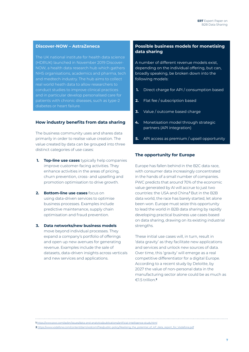#### **Discover-NOW – AstraZeneca**

The UK national institute for health data science (HDRUK) launched in November 2019 Discover-NOW, a health data research hub which gathers NHS organisations, academics and pharma, tech and medtech industry. The hub aims to collect real world heath data to allow researchers to conduct studies to improve clinical practices and in particular develop personalised care for patients with chronic diseases, such as type-2 diabetes or heart failure.

#### **How industry benefits from data sharing**

The business community uses and shares data primarily in order to realise value creation. The value created by data can be grouped into three distinct categories of use cases:

- **1. Top-line use cases** typically help companies improve customer-facing activities. They enhance activities in the areas of pricing, churn prevention, cross- and upselling and promotion optimisation to drive growth.
- **2. Bottom-line use cases** focus on using data-driven services to optimise business processes. Examples include predictive maintenance, supply chain optimisation and fraud prevention.
- **3. Data networks/new business models** move beyond individual processes. They expand a company's portfolio of offerings and open up new avenues for generating revenue. Examples include the sale of datasets, data-driven insights across verticals and new services and applications.

#### **Possible business models for monetising data sharing**

A number of different revenue models exist, depending on the individual offering, but can, broadly speaking, be broken down into the following models:

- **1.** Direct charge for API / consumption based
- **2.** Flat fee / subscription based
- **3.** Value / outcome based charge
- **4.** Monetisation model through strategic partners (API integration)
- **5.** API access as premium / upsell opportunity

#### **The opportunity for Europe**

Europe has fallen behind in the B2C data race, with consumer data increasingly concentrated in the hands of a small number of companies. PWC predicts that around 70% of the economic value generated by AI will accrue to just two countries: the USA and China.**<sup>1</sup>** But in the B2B data world, the race has barely started, let alone been won. Europe must seize this opportunity to lead the world in B2B data sharing by rapidly developing practical business use cases based on data sharing, drawing on its existing industrial strenaths.

These initial use cases will, in turn, result in 'data gravity' as they facilitate new applications and services and unlock new sources of data. Over time, this 'gravity' will emerge as a real competitive differentiator for a digital Europe. According to a recent study by Deloitte, by 2027 the value of non-personal data in the manufacturing sector alone could be as much as €1.5 trillion.**<sup>2</sup>**

**<sup>1</sup>** <https://www.pwc.com/gx/en/issues/data-and-analytics/publications/artificial-intelligence-study.html>

**<sup>2</sup>** [https://www.vodafone.com/content/dam/vodcom/files/public-policy/Realising\\_the\\_potential\\_of\\_IoT\\_data\\_report\\_for\\_Vodafone.pdf](https://www.vodafone.com/content/dam/vodcom/files/public-policy/Realising_the_potential_of_IoT_data_report_for_Vodafone.pdf)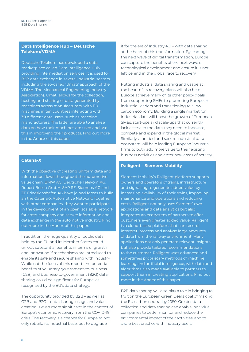#### **Data Intelligence Hub – Deutsche Telekom/VDMA**

Deutsche Telekom has developed a data marketplace called Data Intelligence Hub providing intermediation services. It is used for B2B data exchange in several industrial sectors, including the so-called 'Umati' approach of the VDMA (The Mechanical Engineering Industry Association). Umati allows for the collection, hosting and sharing of data generated by machines across manufacturers, with 110 machines in ten countries interacting with 30 different data users, such as machine manufacturers. The latter are able to analyse data on how their machines are used and use this in improving their products. Find out more in the Annex of this paper.

#### **Catena-X**

With the objective of creating uniform data and information flows throughout the automotive value chain, BMW AG, Deutsche Telekom AG, Robert Bosch GmbH, SAP SE, Siemens AG and ZF Friedrichshafen AG have joined forces to build an the Catena-X Automotive Network. Together with other companies, they want to participate in the development of an open, scalable network for cross-company and secure information and data exchange in the automotive industry. Find out more in the Annex of this paper.

In addition, the huge quantity of public data held by the EU and its Member States could unlock substantial benefits in terms of growth and innovation if mechanisms are introduced to enable its safe and secure sharing with industry. While not the focus of this report, the potential benefits of voluntary government-to-business (G2B) and business-to-government (B2G) data sharing could be significant for Europe, as recognised by the EU's data strategy.

The opportunity provided by B2B – as well as G2B and B2G – data sharing, usage and value creation is even more significant in the context of Europe's economic recovery from the COVID-19 crisis. The recovery is a chance for Europe to not only rebuild its industrial base, but to upgrade

it for the era of Industry 4.0 – with data sharing at the heart of this transformation. By leading the next wave of digital transformation, Europe can capture the benefits of the next wave of technological development and ensure it is not left behind in the global race to recovery.

Putting industrial data sharing and usage at the heart of its recovery plans will also help Europe achieve many of its other policy goals, from supporting SMEs to promoting European industrial leaders and transitioning to a lowcarbon economy. Building a single market for industrial data will boost the growth of European SMEs, start-ups and scale-ups that currently lack access to the data they need to innovate, compete and expand in the global market. Similarly, a unified and secure industrial data ecosystem will help leading European industrial firms to both add more value to their existing business activities and enter new areas of activity.

#### **Railigent - Siemens Mobility**

Siemens Mobility's Railigent platform supports owners and operators of trains, infrastructure and signalling to generate added value by increasing availability of their trains, improving maintenance and operations and reducing costs. Railigent not only uses Siemens' own applications and data analytics but also integrates an ecosystem of partners to offer customers even greater added value. Railigent is a cloud-based platform that can record, interpret, process and analyse large amounts of data from the railway environment. Many applications not only generate relevant insights but also provide tailored recommendations to the customer. Railigent uses advanced and sometimes proprietary methods of machine learning and artificial intelligence, with data and algorithms also made available to partners to support them in creating applications. Find out more in the Annex of this paper.

B2B data sharing will also play a role in bringing to fruition the European Green Deal's goal of making the EU carbon neutral by 2050. Greater data collection and data sharing can enable individual companies to better monitor and reduce the environmental impact of their activities, and to share best practice with industry peers.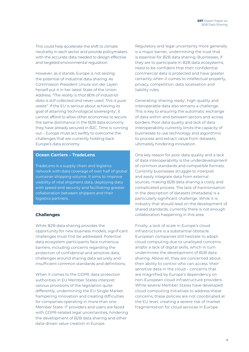This could help accelerate the shift to climate neutrality in each sector and provide policymakers with the accurate data needed to design effective and targeted environmental regulation.

However, as it stands, Europe is not seizing the potential of industrial data sharing. As Commission President Ursula von der Leyen herself put it in her latest State of the Union Address, *"The reality is that 80% of industrial data is still collected and never used. This is pure waste"*. If the EU is serious about achieving its goal of attaining 'technological sovereignty', it cannot afford to allow other economies to secure the same dominance in the B2B data economy they have already secured in B2C. Time is running out – Europe must act swiftly to overcome the challenges that are currently holding back Europe's data economy.

#### **Ocean Carriers – TradeLens**

TradeLens is a supply chain and logistics network with data coverage of over half of global container shipping volume. It aims to improve visibility of vital shipment data, deploying data with speed and security and facilitating greater collaboration between shippers and their logistics partners.

#### **Challenges**

While B2B data sharing provides the opportunity for new business models, significant challenges must first be addressed. Potential data ecosystem participants face numerous barriers, including concerns regarding the protection of confidential and sensitive data, challenges around sharing data securely and insufficient common standards and definitions.

When it comes to the GDPR, data protection authorities in EU Member States interpret various provisions of the legislation quite differently, undermining the EU Single Market, hampering innovation and creating difficulties for companies operating in more than one Member State. IT providers and users are faced with GDPR-related legal uncertainties, hindering the development of B2B data sharing and other data-driven value creation in Europe.

Regulatory and legal uncertainty more generally is a major barrier, undermining the trust that is essential for B2B data sharing. Businesses, if they are to participate in B2B data ecosystems, need to be confident that their confidential commercial data is protected and have greater certainty when it comes to intellectual property, privacy, competition, data localisation and liability rules.

Generating 'sharing ready', high-quality and interoperable data also remains a challenge. This is key to ensuring the automatic exchange of data within and between sectors and across borders. Poor data quality and lack of data interoperability currently limits the capacity of businesses to use technology and algorithms to process and extract value from datasets, ultimately hindering innovation.

One key reason for poor data quality and a lack of data interoperability is the underdevelopment of common standards and compatible formats. Currently businesses struggle to interpret and easily integrate data from external sources, making B2B data sharing a costly and complicated process. The lack of harmonisation in the description of datasets (metadata) is a particularly significant challenge. While it is industry that should lead on the development of shared standards, currently there is not enough collaboration happening in this area.

Finally, a lack of scale in Europe's cloud infrastructure is a substantial obstacle. European companies still hesitate to adopt cloud computing due to unalloyed concerns and/or a lack of digital skills, which in turn undermines the development of B2B data sharing. Above all, they are concerned about their ability to control who can access 'their' sensitive data in the cloud – concerns that are magnified by Europe's dependency on non-European cloud infrastructure providers. While several Member States have developed cloud-computing initiatives to address these concerns, these policies are not coordinated at the EU level, creating a severe risk of market fragmentation for cloud services in Europe.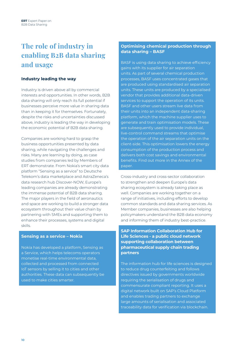## **The role of industry in enabling B2B data sharing and usage**

#### **Industry leading the way**

Industry is driven above all by commercial interests and opportunities. In other words, B2B data sharing will only reach its full potential if businesses perceive more value in sharing data than in keeping it for themselves. Fortunately, despite the risks and uncertainties discussed above, industry is leading the way in developing the economic potential of B2B data sharing.

Companies are working hard to grasp the business opportunities presented by data sharing, while navigating the challenges and risks. Many are learning by doing, as case studies from companies led by Members of ERT demonstrate. From Nokia's smart city data platform "Sensing as a service" to Deutsche Telekom's data marketplace and AstraZeneca's data research hub Discover-NOW, Europe's leading companies are already demonstrating the immense potential of B2B data sharing. The major players in the field of aeronautics and space are working to build a stronger data ecosystem throughout their value chain by partnering with SMEs and supporting them to enhance their processes, systems and digital skills.

#### **Sensing as a service – Nokia**

Nokia has developed a platform, Sensing as a Service, which helps telecoms operators monetise real-time environmental data, collected and processed from connected IoT sensors by selling it to cities and other authorities. These data can subsequently be used to make cities smarter.

#### **Optimising chemical production through data sharing – BASF**

BASF is using data sharing to achieve efficiency gains with its supplier for air separation units. As part of several chemical production processes, BASF uses concentrated gases that are produced using standardised air separation units. These units are produced by a specialised vendor that provides additional data-driven services to support the operation of its units. BASF and other users stream live data from their units into an independent data-sharing platform, which the machine supplier uses to generate and train optimisation models. These are subsequently used to provide individual, live-control command streams that optimise the operation of the air separation units on the client-side. This optimisation lowers the energy consumption of the production process and delivers both cost savings and environmental benefits. Find out more in the Annex of the paper.

Cross-industry and cross-sector collaboration to strengthen and deepen Europe's data sharing ecosystem is already taking place as well. Companies are working together on a range of initiatives, including efforts to develop common standards and data sharing services. As Member companies, businesses are also helping policymakers understand the B2B data economy and informing them of industry best-practice.

**SAP Information Collaboration Hub for Life Sciences - a public cloud network supporting collaboration between pharmaceutical supply chain trading partners**

The information hub for life sciences is designed to reduce drug counterfeiting and follows directives issued by governments worldwide requiring the serialisation of drugs and commensurate compliant reporting. It uses a digital network built on SAP's Cloud Platform and enables trading partners to exchange large amounts of serialisation and associated traceability data for verification via blockchain.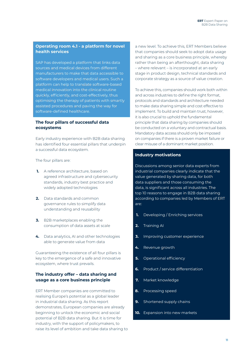#### **Operating room 4.1 - a platform for novel health services**

SAP has developed a platform that links data sources and medical devices from different manufacturers to make that data accessible to software developers and medical users. Such a platform can help to translate software-based medical innovation into the clinical routine quickly, efficiently, and cost-effectively, thus optimising the therapy of patients with smartly assisted procedures and paving the way for software-defined healthcare.

#### **The four pillars of successful data ecosystems**

Early industry experience with B2B data sharing has identified four essential pillars that underpin a successful data ecosystem.

The four pillars are:

- **1.** A reference architecture, based on agreed infrastructure and cybersecurity standards, industry best practice and widely adopted technologies
- **2.** Data standards and common governance rules to simplify data understanding and reusability
- **3.** B2B marketplaces enabling the consumption of data assets at scale
- **4.** Data analytics, AI and other technologies able to generate value from data

Guaranteeing the existence of all four pillars is key to the emergence of a safe and innovative ecosystem, where trust prevails.

#### **The industry offer – data sharing and usage as a core business principle**

ERT Member companies are committed to realising Europe's potential as a global leader in industrial data sharing. As this report demonstrates, European companies are already beginning to unlock the economic and social potential of B2B data sharing. But it is time for industry, with the support of policymakers, to raise its level of ambition and take data sharing to a new level. To achieve this, ERT Members believe that companies should seek to adopt data usage and sharing as a core business principle, whereby rather than being an afterthought, data sharing – where relevant – is incorporated at an early stage in product design, technical standards and corporate strategy as a source of value creation.

To achieve this, companies should work both within and across industries to define the right format, protocols and standards and architecture needed to make data sharing simple and cost effective to implement. To build and maintain trust, however, it is also crucial to uphold the fundamental principle that data sharing by companies should be conducted on a voluntary and contractual basis. Mandatory data access should only be imposed on companies if there is a proven market failure or clear misuse of a dominant market position.

#### **Industry motivations**

Discussions among senior data experts from industrial companies clearly indicate that the value generated by sharing data, for both data suppliers and those consuming the data, is significant across all industries. The top 10 reasons to engage in B2B data sharing according to companies led by Members of ERT are:

- **1.** Developing / Enriching services
- **2.** Training AI
- **3.** Improving customer experience
- **4.** Revenue growth
- **5.** Operational efficiency
- **6.** Product / service differentiation
- **7.** Market knowledge
- **8.** Processing speed
- **9.** Shortened supply chains
- **10.** Expansion into new markets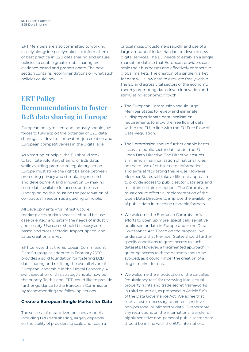ERT Members are also committed to working closely alongside policymakers to inform them of best practice in B2B data sharing and ensure policies to enable greater data sharing are evidence-based and proportionate. The next section contains recommendations on what such policies could look like.

## **ERT Policy Recommendations to foster B2B data sharing in Europe**

European policymakers and industry should join forces to fully exploit the potential of B2B data sharing as a driver of innovation, job creation and European competitiveness in the digital age.

As a starting principle, the EU should seek to facilitate voluntary sharing of B2B data, while avoiding premature regulatory action. Europe must strike the right balance between protecting privacy and stimulating research and development and innovation by making more data available for access and re-use. Underpinning this must be the preservation of contractual freedom as a guiding principle.

All developments – for infrastructure, marketplaces or data spaces – should be 'use case oriented' and satisfy the needs of industry and society. Use cases should be ecosystembased and cross-sectorial. Impact, speed, and value creation are key.

ERT believes that the European Commission's Data Strategy, as adopted in February 2020, provides a solid foundation for fostering B2B data sharing and realising the overall vision of European leadership in the Digital Economy. A swift execution of this strategy should now be the priority. To this end, ERT would like to provide further guidance to the European Commission by recommending the following actions.

#### **Create a European Single Market for Data**

The success of data-driven business models, including B2B data sharing, largely depends on the ability of providers to scale and reach a

critical mass of customers rapidly and use of a large amount of industrial data to develop new digital services. The EU needs to establish a single market for data so that European providers can scale their businesses and effectively compete in global markets. The creation of a single market for data will allow data to circulate freely within the EU and across vital sectors of the economy, thereby promoting data-driven innovation and stimulating economic growth.

- **•** The European Commission should urge Member States to review and eliminate all disproportionate data-localisation requirements to allow the free flow of data within the EU, in line with the EU Free Flow of Data Regulation.
- **•** The Commission should further enable better access to public sector data under the EU Open Data Directive. The Directive ensures a minimum harmonisation of national rules on the re-use of public sector information and aims at facilitating this re-use. However, Member States still take a different approach to provide access to public sector data sets and maintain certain exceptions. The Commission must ensure effective implementation of the Open Data Directive to improve the availability of public data in machine readable formats.
- **•** We welcome the European Commission's efforts to open up more, specifically sensitive, public sector data in Europe under the Data Governance Act. Based on the proposal, we understand that Member States should further specify conditions to grant access to such datasets. However, a fragmented approach in granting access to these datasets should be avoided, as it could hinder the creation of a single market for data.
- **•** We welcome the introduction of the so-called "equivalency test" for reviewing intellectual property rights and trade secret frameworks in third countries, as proposed in Article 5 (9) of the Data Governance Act. We agree that such a test is necessary to protect sensitive non-personal public sector data. Furthermore, any restrictions on the international transfer of highly sensitive non-personal public sector data should be in line with the EU's international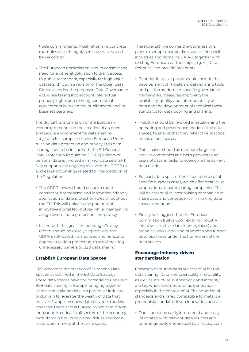trade commitments. A definition and concrete examples of such highly sensitive data would be welcomed.

**•** The European Commission should consider the need for a general obligation to grant access to public sector data, especially for high-value datasets, through a revision of the Open Data Directive and/or the proposed Data Governance Act, while taking into account intellectual property rights and existing contractual agreements between the public sector and its business partners.

The digital transformation of the European economy depends on the creation of an open and secure environment for data sharing, subject to full compliance with European Union rules on data protection and privacy. B2B data sharing should be in line with the EU General Data Protection Regulation (GDPR) whenever personal data is involved in mixed-data sets. ERT fully supports the ongoing review of the GDPR to address shortcomings related to interpretation of the Regulation.

- **•** The GDPR review should ensure a more consistent, harmonised and innovation-friendly application of data protection rules throughout the EU. This will unleash the potential of innovative digital technology while maintaining a high level of data protection and privacy.
- **•** In line with this goal, the pending ePrivacy reform should be closely aligned with the GDPR's risk-based, harmonised and horizontal approach to data protection, to avoid creating unnecessary barriers to B2B data sharing.

#### **Establish European Data Spaces**

ERT welcomes the creation of European Data Spaces, as outlined in the EU Data Strategy. These data spaces have the potential to underpin B2B data sharing in Europe, bringing together all relevant stakeholders in a particular industry or domain to leverage the wealth of data that exists in Europe, test new data business models and scale them across Europe. While data-driven innovation is critical in all sectors of the economy, each domain has its own specificities and not all sectors are moving at the same speed.

Therefore, ERT welcomes the Commission's plans to set up separate data spaces for specific industries and domains. GAIA-X together with existing European partnerships (e.g. AI, Data, Robotics) can provide blueprints.

- **•** Priorities for data spaces should include the development of IT systems, data-sharing tools and platforms, domain-specific governance frameworks, measures improving the availability, quality and interoperability of data and the development of technical tools/ standards for data pooling and sharing.
- **•** Industry should be involved in establishing the operating and governance model of the data spaces, to ensure that they reflect the practical needs of businesses.
- **•** Data spaces should attract both large and smaller companies and both providers and users of data, in order to overcome the current data divide.
- **•** For each data space, there should be a set of specific business cases, which offer clear value propositions to participating companies. This will be essential in incentivising companies to share data and consequently in making data spaces operational.
- **•** Finally, we suggest that the European Commission builds upon existing industry initiatives (such as data marketplaces) and technical know-how and promotes and further develops these under the framework of the data spaces.

#### **Encourage Industry-driven standardisation**

Common data standards are essential for B2B data sharing. Data interoperability and quality, as well as structure, authenticity and integrity, are key when it comes to value generation especially in the context of AI. The adoption of standards and shared compatible formats is a prerequisite for data-driven innovation at scale.

**•** Data should be easily interpreted and easily integrated with relevant data sources and unambiguously understood by all ecosystem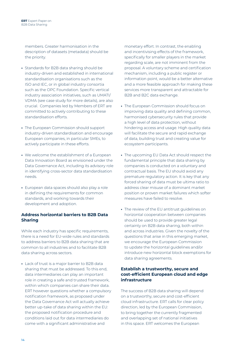members. Greater harmonisation in the description of datasets (metadata) should be the priority.

- **•** Standards for B2B data sharing should be industry-driven and established in international standardisation organisations such as the ISO and IEC, or in global industry consortia such as the OPC Foundation. Specific vertical industry association initiatives, such as UMATI/ VDMA (see case study for more details), are also crucial. Companies led by Members of ERT are committed to actively contributing to these standardisation efforts.
- **•** The European Commission should support industry-driven standardisation and encourage European companies, in particular SMEs, to actively participate in these efforts.
- **•** We welcome the establishment of a European Data Innovation Board as envisioned under the Data Governance Act, including its advisory role in identifying cross-sector data standardisation needs.
- **•** European data spaces should also play a role in defining the requirements for common standards, and working towards their development and adoption.

#### **Address horizontal barriers to B2B Data Sharing**

While each industry has specific requirements, there is a need for EU-wide rules and standards to address barriers to B2B data sharing that are common to all industries and to facilitate B2B data sharing across sectors.

**•** Lack of trust is a major barrier to B2B data sharing that must be addressed. To this end, data intermediaries can play an important role in creating a safe and trusted framework, within which companies can share their data. ERT however questions whether a compulsory notification framework, as proposed under the Data Governance Act will actually achieve better up-take of data sharing within the EU: the proposed notification procedure and conditions laid out for data intermediaries do come with a significant administrative and

monetary effort. In contrast, the enabling and incentivising effects of the framework, specifically for smaller players in the market regarding scale, are not imminent from the proposal. A voluntary scheme and certification mechanism, including a public register or information point, would be a better alternative and a more feasible approach for making these services more transparent and attractable for B2B and B2C data exchange.

- **•** The European Commission should focus on improving data quality and defining common, harmonised cybersecurity rules that provide a high level of data protection, without hindering access and usage. High quality data will facilitate the secure and rapid exchange of data, building trust and creating value for ecosystem participants.
- **•** The upcoming EU Data Act should respect the fundamental principle that data sharing by companies is conducted on a voluntary and contractual basis. The EU should avoid any premature regulatory action. It is key that any forced sharing of data must be ultima ratio to address clear misuse of a dominant market position or proven market failures which softer measures have failed to resolve.
- **•** The review of the EU antitrust guidelines on horizontal cooperation between companies should be used to provide greater legal certainty on B2B data sharing, both within and across industries. Given the novelty of the questions that arise in this emerging market, we encourage the European Commission to update the horizontal guidelines and/or introduce new horizontal block exemptions for data sharing agreements.

#### **Establish a trustworthy, secure and cost-efficient European cloud and edge infrastructure**

The success of B2B data sharing will depend on a trustworthy, secure and cost-efficient cloud infrastructure. ERT calls for clear policy direction, led by the European Commission, to bring together the currently fragmented and overlapping set of national initiatives in this space. ERT welcomes the European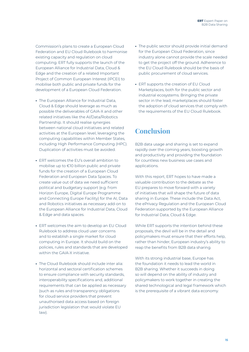Commission's plans to create a European Cloud Federation and EU Cloud Rulebook to harmonise existing capacity and regulation on cloud computing. ERT fully supports the launch of the European Alliance for Industrial Data, Cloud & Edge and the creation of a related Important Project of Common European Interest (IPCEI) to mobilise both public and private funds for the development of a European Cloud Federation.

- **•** The European Alliance for Industrial Data, Cloud & Edge should leverage as much as possible the deliverables of GAIA-X and other related initiatives like the AI/Data/Robotics Partnership. It should realise synergies between national cloud initiatives and related activities at the European level, leveraging the computing capabilities within Member States, including High Performance Computing (HPC). Duplication of activities must be avoided.
- **•** ERT welcomes the EU's overall ambition to mobilise up to €10 billion public and private funds for the creation of a European Cloud Federation and European Data Spaces. To create value out of data we need sufficient political and budgetary support (e.g. from Horizon Europe, Digital Europe Programme and Connecting Europe Facility) for the AI, Data and Robotics initiatives as necessary add-on to the European Alliance for Industrial Data, Cloud & Edge and data spaces.
- **•** ERT welcomes the aim to develop an EU Cloud Rulebook to address cloud user concerns and to establish a single market for cloud computing in Europe. It should build on the policies, rules and standards that are developed within the GAIA-X initiative.
- **•** The Cloud Rulebook should include inter alia: horizontal and sectoral certification schemes to ensure compliance with security standards, interoperability specifications and, additional requirements that can be applied as necessary (such as rules and transparency obligations for cloud service providers that prevent unauthorised data access based on foreign jurisdiction legislation that would violate EU law).
- **•** The public sector should provide initial demand for the European Cloud Federation, since industry alone cannot provide the scale needed to get the project off the ground. Adherence to the EU Cloud Rulebook should be the basis of public procurement of cloud services.
- **•** ERT supports the creation of EU Cloud Marketplaces, both for the public sector and industrial ecosystems. Bringing the private sector in the lead, marketplaces should foster the adoption of cloud services that comply with the requirements of the EU Cloud Rulebook.

## **Conclusion**

B2B data usage and sharing is set to expand rapidly over the coming years, boosting growth and productivity and providing the foundation for countless new business use cases and applications.

With this report, ERT hopes to have made a valuable contribution to the debate as the EU prepares to move forward with a variety of initiatives that will shape the future of data sharing in Europe. These include the Data Act, the ePrivacy Regulation and the European Cloud Federation supported by the European Alliance for Industrial Data, Cloud & Edge.

While ERT supports the intention behind these proposals, the devil will be in the detail and policymakers must ensure that their efforts help, rather than hinder, European industry's ability to reap the benefits from B2B data sharing.

With its strong industrial base, Europe has the foundation it needs to lead the world in B2B sharing. Whether it succeeds in doing so will depend on the ability of industry and policymakers to work together in creating the shared technological and legal framework which is the prerequisite of a vibrant data economy.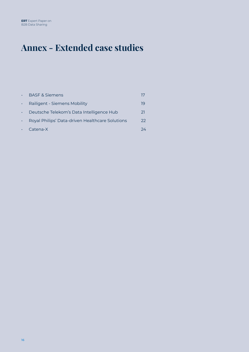# **Annex - Extended case studies**

| <b>BASF &amp; Siemens</b>                       |    |
|-------------------------------------------------|----|
| Railigent - Siemens Mobility                    | 19 |
| Deutsche Telekom's Data Intelligence Hub        | 21 |
| Royal Philips' Data-driven Healthcare Solutions | 22 |
| Catena-X                                        | フム |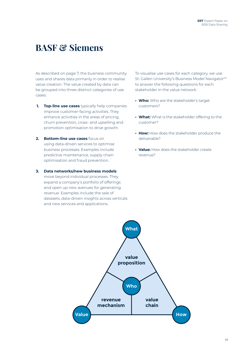## **BASF & Siemens**

As described on page 7, the business community uses and shares data primarily in order to realise value creation. The value created by data can be grouped into three distinct categories of use cases:

- **1. Top-line use cases** typically help companies improve customer-facing activities. They enhance activities in the areas of pricing, churn prevention, cross- and upselling and promotion optimisation to drive growth.
- **2. Bottom-line use cases** focus on using data-driven services to optimise business processes. Examples include predictive maintenance, supply chain optimisation and fraud prevention.
- **3. Data networks/new business models** move beyond individual processes. They expand a company's portfolio of offerings and open up new avenues for generating revenue. Examples include the sale of datasets, data-driven insights across verticals and new services and applications.

To visualise use cases for each category, we use St. Gallen University's Business Model Navigator<sup>™</sup> to answer the following questions for each stakeholder in the value network:

- **• Who:** Who are the stakeholder's target customers?
- **• What:** What is the stakeholder offering to the customer?
- **• How:** How does the stakeholder produce the deliverable?
- **• Value:** How does the stakeholder create revenue?

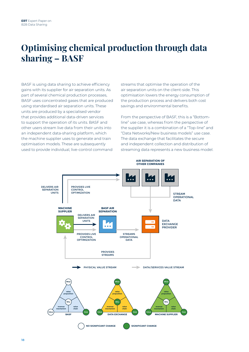## **Optimising chemical production through data sharing – BASF**

BASF is using data sharing to achieve efficiency gains with its supplier for air separation units. As part of several chemical production processes, BASF uses concentrated gases that are produced using standardised air separation units. These units are produced by a specialised vendor that provides additional data-driven services to support the operation of its units. BASF and other users stream live data from their units into an independent data-sharing platform, which the machine supplier uses to generate and train optimisation models. These are subsequently used to provide individual, live-control command

streams that optimise the operation of the air separation units on the client-side. This optimisation lowers the energy consumption of the production process and delivers both cost savings and environmental benefits.

From the perspective of BASF, this is a "Bottomline" use case, whereas from the perspective of the supplier it is a combination of a "Top-line" and "Data Networks/New business models" use case. The data exchange that facilitates the secure and independent collection and distribution of streaming data represents a new business model.

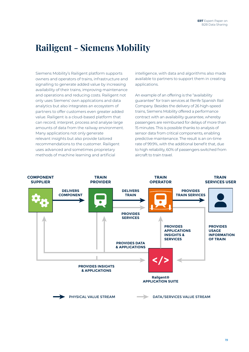## **Railigent - Siemens Mobility**

Siemens Mobility's Railigent platform supports owners and operators of trains, infrastructure and signalling to generate added value by increasing availability of their trains, improving maintenance and operations and reducing costs. Railigent not only uses Siemens' own applications and data analytics but also integrates an ecosystem of partners to offer customers even greater added value. Railigent is a cloud-based platform that can record, interpret, process and analyse large amounts of data from the railway environment. Many applications not only generate relevant insights but also provide tailored recommendations to the customer. Railigent uses advanced and sometimes proprietary methods of machine learning and artificial

intelligence, with data and algorithms also made available to partners to support them in creating applications.

An example of an offering is the "availability guarantee" for train services at Renfe Spanish Rail Company. Besides the delivery of 26 high-speed trains, Siemens Mobility offered a performance contract with an availability guarantee, whereby passengers are reimbursed for delays of more than 15 minutes. This is possible thanks to analysis of sensor data from critical components, enabling predictive maintenance. The result is an on-time rate of 99.9%, with the additional benefit that, due to high reliability, 60% of passengers switched from aircraft to train travel.

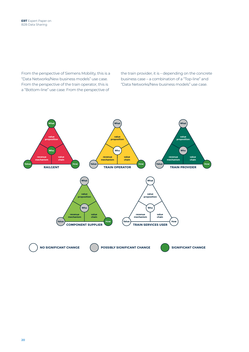From the perspective of Siemens Mobility, this is a "Data Networks/New business models" use case. From the perspective of the train operator, this is a "Bottom-line" use case. From the perspective of

the train provider, it is – depending on the concrete business case – a combination of a "Top-line" and "Data Networks/New business models" use case.

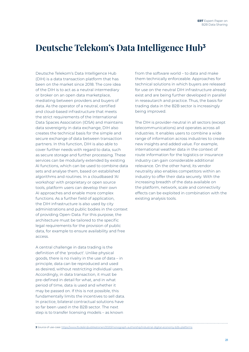## **Deutsche Telekom's Data Intelligence Hub<sup>3</sup>**

Deutsche Telekom's Data Intelligence Hub (DIH) is a data transaction platform that has been on the market since 2018. The core idea of the DIH is to act as a neutral intermediary or broker on an open data marketplace, mediating between providers and buyers of data. As the operator of a neutral, certified and cloud-based infrastructure that meets the strict requirements of the International Data Spaces Association (IDSA) and maintains data sovereignty in data exchange, DIH also creates the technical basis for the simple and secure exchange of data between transaction partners. In this function, DIH is also able to cover further needs with regard to data, such as secure storage and further processing. These services can be modularly extended by existing AI functions, which can be used to combine data sets and analyse them, based on established algorithms and routines. In a cloudbased 'AI workshop' with proprietary or open source tools, platform users can develop their own AI approaches and enable more complex functions. As a further field of application, the DIH infrastructure is also used by city administrations and public bodies in the context of providing Open-Data. For this purpose, the architecture must be tailored to the specific legal requirements for the provision of public data, for example to ensure availability and free access.

A central challenge in data trading is the definition of the 'product'. Unlike physical goods, there is no rivalry in the use of data – in principle, data can be reproduced and used as desired, without restricting individual users. Accordingly, in data transaction, it must be pre-defined in detail for what, and in what period of time, data is used and whether it may be passed on. If this is not possible, this fundamentally limits the incentives to sell data. In practice, bilateral contractual solutions have so far been used in the B2B sector. The next step is to transfer licensing models – as known

from the software world – to data and make them technically enforceable. Approaches for technical solutions in which buyers are released for use on the neutral DIH infrastructure already exist and are being further developed in parallel in reseautarch and practice. Thus, the basis for trading data in the B2B sector is increasingly being improved.

The DIH is provider-neutral in all sectors (except telecommunications) and operates across all industries. It enables users to combine a wide range of information across industries to create new insights and added value. For example, international weather data in the context of route information for the logistics or insurance industry can gain considerable additional relevance. On the other hand, its vendor neutrality also enables competitors within an industry to offer their data securely. With the increasing breadth of the data available on the platform, network, scale and connectivity effects can be exploited in combination with the existing analysis tools.

#### **3** Source of use-case:<https://www.ifo.de/en/publikationen/2020/monograph-authorship/industrial-digital-economy-b2b-platforms>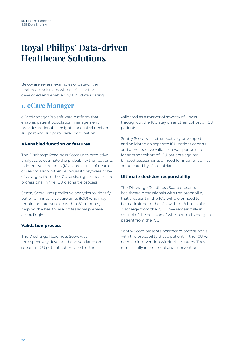## **Royal Philips' Data-driven Healthcare Solutions**

Below are several examples of data-driven healthcare solutions with an AI function developed and enabled by B2B data sharing.

### **1. eCare Manager**

eCareManager is a software platform that enables patient population management, provides actionable insights for clinical decision support and supports care coordination.

#### **AI-enabled function or features**

The Discharge Readiness Score uses predictive analytics to estimate the probability that patients in intensive care units (ICUs) are at risk of death or readmission within 48 hours if they were to be discharged from the ICU, assisting the healthcare professional in the ICU discharge process.

Sentry Score uses predictive analytics to identify patients in intensive care units (ICU) who may require an intervention within 60 minutes, helping the healthcare professional prepare accordingly.

#### **Validation process**

The Discharge Readiness Score was retrospectively developed and validated on separate ICU patient cohorts and further

validated as a marker of severity of illness throughout the ICU stay on another cohort of ICU patients.

Sentry Score was retrospectively developed and validated on separate ICU patient cohorts and a prospective validation was performed for another cohort of ICU patients against blinded assessments of need for intervention, as adjudicated by ICU clinicians.

#### **Ultimate decision responsibility**

The Discharge Readiness Score presents healthcare professionals with the probability that a patient in the ICU will die or need to be readmitted to the ICU within 48 hours of a discharge from the ICU. They remain fully in control of the decision of whether to discharge a patient from the ICU.

Sentry Score presents healthcare professionals with the probability that a patient in the ICU will need an intervention within 60 minutes. They remain fully in control of any intervention.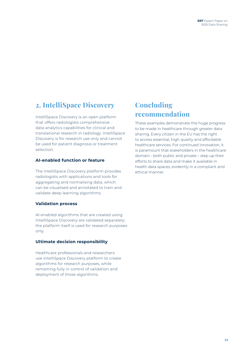### **2. IntelliSpace Discovery**

IntelliSpace Discovery is an open platform that offers radiologists comprehensive data analytics capabilities for clinical and translational research in radiology. IntelliSpace Discovery is for research use only and cannot be used for patient diagnosis or treatment selection.

#### **AI-enabled function or feature**

The IntelliSpace Discovery platform provides radiologists with applications and tools for aggregating and normalising data, which can be visualised and annotated to train and validate deep learning algorithms.

#### **Validation process**

Al-enabled algorithms that are created using IntelliSpace Discovery are validated separately; the platform itself is used for research purposes only.

#### **Ultimate decision responsibility**

Healthcare professionals and researchers use IntelliSpace Discovery platform to create algorithms for research purposes, while remaining fully in control of validation and deployment of those algorithms.

### **Concluding recommendation**

These examples demonstrate the huge progress to be made in healthcare through greater data sharing. Every citizen in the EU has the right to access essential, high quality and affordable healthcare services. For continued innovation, it is paramount that stakeholders in the healthcare domain - both public and private – step up their efforts to share data and make it available in health data spaces, evidently in a compliant and ethical manner.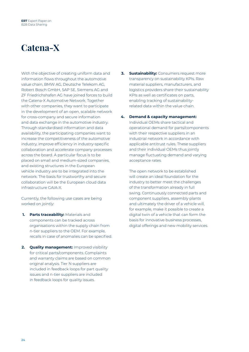# **Catena-X**

With the objective of creating uniform data and information flows throughout the automotive value chain, BMW AG, Deutsche Telekom AG, Robert Bosch GmbH, SAP SE, Siemens AG and ZF Friedrichshafen AG have joined forces to build the Catena-X Automotive Network. Together with other companies, they want to participate in the development of an open, scalable network for cross-company and secure information and data exchange in the automotive industry. Through standardised information and data availability, the participating companies want to increase the competitiveness of the automotive industry, improve efficiency in industry-specific collaboration and accelerate company processes across the board. A particular focus is to be placed on small and medium-sized companies, and existing structures in the European vehicle industry are to be integrated into the network. The basis for trustworthy and secure collaboration will be the European cloud data infrastructure GAIA-X.

Currently, the following use cases are being worked on jointly:

- **1. Parts traceability:** Materials and components can be tracked across organisations within the supply chain from n-tier suppliers to the OEM. For example, recalls in case of anomalies can be specified.
- **2. Quality management:** Improved visibility for critical parts/components. Complaints and warranty claims are based on common original analysis. Tier N suppliers are included in feedback loops for part quality issues and n-tier suppliers are included in feedback loops for quality issues.
- **3. Sustainability:** Consumers request more transparency on sustainability KPIs. Raw material suppliers, manufacturers, and logistics providers share their sustainability KPIs as well as certificates on parts, enabling tracking of sustainabilityrelated data within the value chain.
- **4. Demand & capacity management:** Individual OEMs share tactical and operational demand for parts/components with their respective suppliers in an industrial network in accordance with applicable antitrust rules. These suppliers and their individual OEMs thus jointly manage fluctuating demand and varying acceptance rates.

The open network to be established will create an ideal foundation for the industry to better meet the challenges of the transformation already in full swing. Continuously connected parts and component suppliers, assembly plants and ultimately the driver of a vehicle will, for example, make it possible to create a digital twin of a vehicle that can form the basis for innovative business processes, digital offerings and new mobility services.